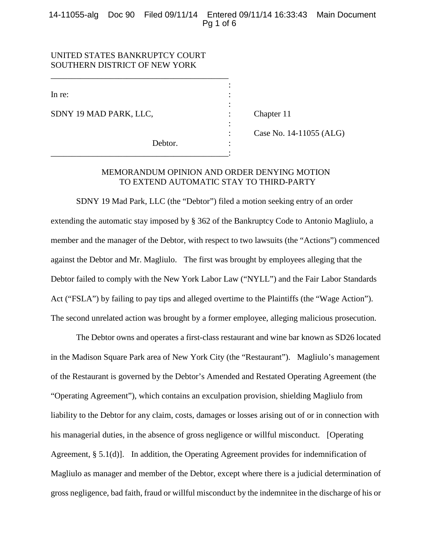## 14-11055-alg Doc 90 Filed 09/11/14 Entered 09/11/14 16:33:43 Main Document Pg 1 of 6

:

:

:

# UNITED STATES BANKRUPTCY COURT SOUTHERN DISTRICT OF NEW YORK

\_\_\_\_\_\_\_\_\_\_\_\_\_\_\_\_\_\_\_\_\_\_\_\_\_\_\_\_\_\_\_\_\_\_\_\_\_\_\_\_\_\_

In re:  $\blacksquare$ 

SDNY 19 MAD PARK, LLC, : Chapter 11

Debtor. \_\_\_\_\_\_\_\_\_\_\_\_\_\_\_\_\_\_\_\_\_\_\_\_\_\_\_\_\_\_\_\_\_\_\_\_\_\_\_\_\_\_:

: Case No. 14-11055 (ALG)

# MEMORANDUM OPINION AND ORDER DENYING MOTION TO EXTEND AUTOMATIC STAY TO THIRD-PARTY

SDNY 19 Mad Park, LLC (the "Debtor") filed a motion seeking entry of an order extending the automatic stay imposed by § 362 of the Bankruptcy Code to Antonio Magliulo, a member and the manager of the Debtor, with respect to two lawsuits (the "Actions") commenced against the Debtor and Mr. Magliulo. The first was brought by employees alleging that the Debtor failed to comply with the New York Labor Law ("NYLL") and the Fair Labor Standards Act ("FSLA") by failing to pay tips and alleged overtime to the Plaintiffs (the "Wage Action"). The second unrelated action was brought by a former employee, alleging malicious prosecution.

The Debtor owns and operates a first-class restaurant and wine bar known as SD26 located in the Madison Square Park area of New York City (the "Restaurant"). Magliulo's management of the Restaurant is governed by the Debtor's Amended and Restated Operating Agreement (the "Operating Agreement"), which contains an exculpation provision, shielding Magliulo from liability to the Debtor for any claim, costs, damages or losses arising out of or in connection with his managerial duties, in the absence of gross negligence or willful misconduct. [Operating Agreement, § 5.1(d)]. In addition, the Operating Agreement provides for indemnification of Magliulo as manager and member of the Debtor, except where there is a judicial determination of gross negligence, bad faith, fraud or willful misconduct by the indemnitee in the discharge of his or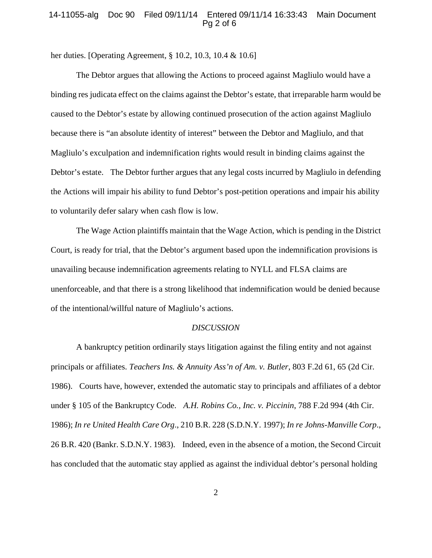#### 14-11055-alg Doc 90 Filed 09/11/14 Entered 09/11/14 16:33:43 Main Document Pg 2 of 6

her duties. [Operating Agreement, § 10.2, 10.3, 10.4 & 10.6]

The Debtor argues that allowing the Actions to proceed against Magliulo would have a binding res judicata effect on the claims against the Debtor's estate, that irreparable harm would be caused to the Debtor's estate by allowing continued prosecution of the action against Magliulo because there is "an absolute identity of interest" between the Debtor and Magliulo, and that Magliulo's exculpation and indemnification rights would result in binding claims against the Debtor's estate. The Debtor further argues that any legal costs incurred by Magliulo in defending the Actions will impair his ability to fund Debtor's post-petition operations and impair his ability to voluntarily defer salary when cash flow is low.

The Wage Action plaintiffs maintain that the Wage Action, which is pending in the District Court, is ready for trial, that the Debtor's argument based upon the indemnification provisions is unavailing because indemnification agreements relating to NYLL and FLSA claims are unenforceable, and that there is a strong likelihood that indemnification would be denied because of the intentional/willful nature of Magliulo's actions.

#### *DISCUSSION*

A bankruptcy petition ordinarily stays litigation against the filing entity and not against principals or affiliates. *Teachers Ins. & Annuity Ass'n of Am. v. Butler*, 803 F.2d 61, 65 (2d Cir. 1986). Courts have, however, extended the automatic stay to principals and affiliates of a debtor under § 105 of the Bankruptcy Code. *A.H. Robins Co., Inc. v. Piccinin*, 788 F.2d 994 (4th Cir. 1986); *In re United Health Care Org*., 210 B.R. 228 (S.D.N.Y. 1997); *In re Johns-Manville Corp*., 26 B.R. 420 (Bankr. S.D.N.Y. 1983). Indeed, even in the absence of a motion, the Second Circuit has concluded that the automatic stay applied as against the individual debtor's personal holding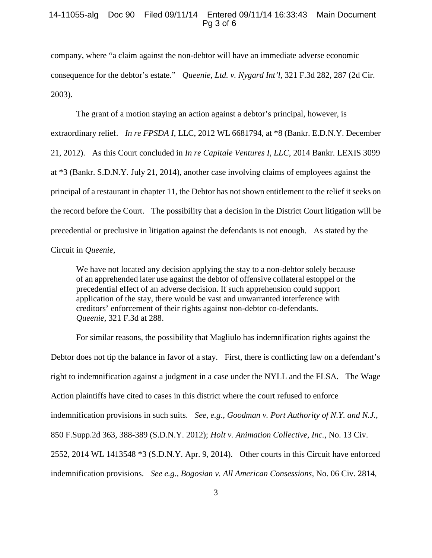### 14-11055-alg Doc 90 Filed 09/11/14 Entered 09/11/14 16:33:43 Main Document Pg 3 of 6

company, where "a claim against the non-debtor will have an immediate adverse economic consequence for the debtor's estate." *Queenie, Ltd. v. Nygard Int'l*, 321 F.3d 282, 287 (2d Cir. 2003).

The grant of a motion staying an action against a debtor's principal, however, is extraordinary relief. *In re FPSDA I*, LLC, 2012 WL 6681794, at \*8 (Bankr. E.D.N.Y. December 21, 2012). As this Court concluded in *In re Capitale Ventures I, LLC*, 2014 Bankr. LEXIS 3099 at \*3 (Bankr. S.D.N.Y. July 21, 2014), another case involving claims of employees against the principal of a restaurant in chapter 11, the Debtor has not shown entitlement to the relief it seeks on the record before the Court. The possibility that a decision in the District Court litigation will be precedential or preclusive in litigation against the defendants is not enough. As stated by the Circuit in *Queenie*,

We have not located any decision applying the stay to a non-debtor solely because of an apprehended later use against the debtor of offensive collateral estoppel or the precedential effect of an adverse decision. If such apprehension could support application of the stay, there would be vast and unwarranted interference with creditors' enforcement of their rights against non-debtor co-defendants. *Queenie*, 321 F.3d at 288.

For similar reasons, the possibility that Magliulo has indemnification rights against the Debtor does not tip the balance in favor of a stay. First, there is conflicting law on a defendant's right to indemnification against a judgment in a case under the NYLL and the FLSA. The Wage Action plaintiffs have cited to cases in this district where the court refused to enforce indemnification provisions in such suits. *See*, *e.g*., *Goodman v. Port Authority of N.Y. and N.J.*, 850 F.Supp.2d 363, 388-389 (S.D.N.Y. 2012); *Holt v. Animation Collective, Inc.*, No. 13 Civ. 2552, 2014 WL 1413548 \*3 (S.D.N.Y. Apr. 9, 2014). Other courts in this Circuit have enforced indemnification provisions. *See e.g*., *Bogosian v. All American Consessions*, No. 06 Civ. 2814,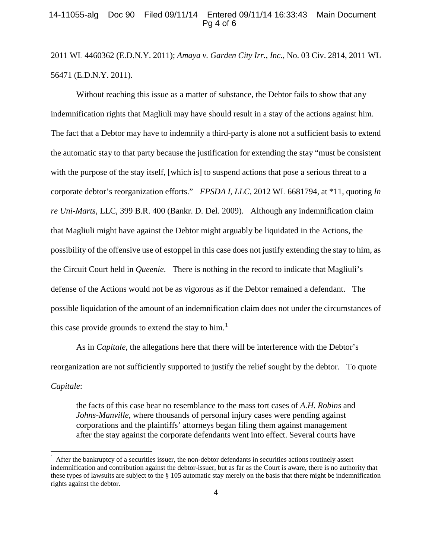### 14-11055-alg Doc 90 Filed 09/11/14 Entered 09/11/14 16:33:43 Main Document Pg 4 of 6

2011 WL 4460362 (E.D.N.Y. 2011); *Amaya v. Garden City Irr., Inc*., No. 03 Civ. 2814, 2011 WL 56471 (E.D.N.Y. 2011).

Without reaching this issue as a matter of substance, the Debtor fails to show that any indemnification rights that Magliuli may have should result in a stay of the actions against him. The fact that a Debtor may have to indemnify a third-party is alone not a sufficient basis to extend the automatic stay to that party because the justification for extending the stay "must be consistent with the purpose of the stay itself, [which is] to suspend actions that pose a serious threat to a corporate debtor's reorganization efforts." *FPSDA I, LLC*, 2012 WL 6681794, at \*11, quoting *In re Uni-Marts,* LLC, 399 B.R. 400 (Bankr. D. Del. 2009). Although any indemnification claim that Magliuli might have against the Debtor might arguably be liquidated in the Actions, the possibility of the offensive use of estoppel in this case does not justify extending the stay to him, as the Circuit Court held in *Queenie*. There is nothing in the record to indicate that Magliuli's defense of the Actions would not be as vigorous as if the Debtor remained a defendant. The possible liquidation of the amount of an indemnification claim does not under the circumstances of this case provide grounds to extend the stay to  $him.1$  $him.1$ 

As in *Capitale*, the allegations here that there will be interference with the Debtor's reorganization are not sufficiently supported to justify the relief sought by the debtor. To quote *Capitale*:

the facts of this case bear no resemblance to the mass tort cases of *A.H. Robins* and *Johns-Manville*, where thousands of personal injury cases were pending against corporations and the plaintiffs' attorneys began filing them against management after the stay against the corporate defendants went into effect. Several courts have

<span id="page-3-0"></span> $<sup>1</sup>$  After the bankruptcy of a securities issuer, the non-debtor defendants in securities actions routinely assert</sup> indemnification and contribution against the debtor-issuer, but as far as the Court is aware, there is no authority that these types of lawsuits are subject to the  $\S$  105 automatic stay merely on the basis that there might be indemnification rights against the debtor.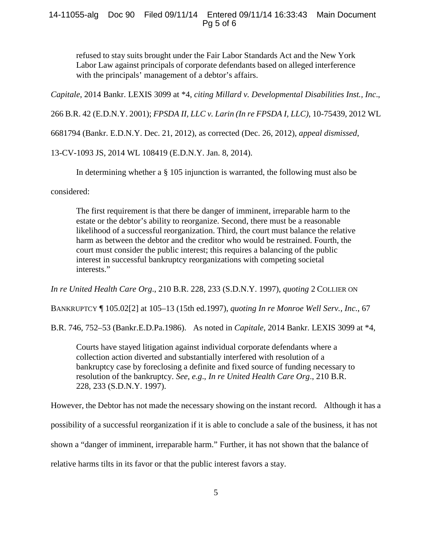## 14-11055-alg Doc 90 Filed 09/11/14 Entered 09/11/14 16:33:43 Main Document Pg 5 of 6

refused to stay suits brought under the Fair Labor Standards Act and the New York Labor Law against principals of corporate defendants based on alleged interference with the principals' management of a debtor's affairs.

*Capitale*, 2014 Bankr. LEXIS 3099 at \*4, *citing Millard v. Developmental Disabilities Inst., Inc*.,

266 B.R. 42 (E.D.N.Y. 2001); *FPSDA II, LLC v. Larin (In re FPSDA I, LLC)*, 10-75439, 2012 WL

6681794 (Bankr. E.D.N.Y. Dec. 21, 2012), as corrected (Dec. 26, 2012), *appeal dismissed*,

13-CV-1093 JS, 2014 WL 108419 (E.D.N.Y. Jan. 8, 2014).

In determining whether a § 105 injunction is warranted, the following must also be

considered:

The first requirement is that there be danger of imminent, irreparable harm to the estate or the debtor's ability to reorganize. Second, there must be a reasonable likelihood of a successful reorganization. Third, the court must balance the relative harm as between the debtor and the creditor who would be restrained. Fourth, the court must consider the public interest; this requires a balancing of the public interest in successful bankruptcy reorganizations with competing societal interests."

*In re United Health Care Org*., 210 B.R. 228, 233 (S.D.N.Y. 1997), *quoting* 2 COLLIER ON

BANKRUPTCY ¶ 105.02[2] at 105–13 (15th ed.1997), *quoting In re Monroe Well Serv., Inc.*, 67

B.R. 746, 752–53 (Bankr.E.D.Pa.1986). As noted in *Capitale*, 2014 Bankr. LEXIS 3099 at \*4,

Courts have stayed litigation against individual corporate defendants where a collection action diverted and substantially interfered with resolution of a bankruptcy case by foreclosing a definite and fixed source of funding necessary to resolution of the bankruptcy. *See*, *e.g*., *In re United Health Care Org*., 210 B.R. 228, 233 (S.D.N.Y. 1997).

However, the Debtor has not made the necessary showing on the instant record. Although it has a

possibility of a successful reorganization if it is able to conclude a sale of the business, it has not

shown a "danger of imminent, irreparable harm." Further, it has not shown that the balance of

relative harms tilts in its favor or that the public interest favors a stay.